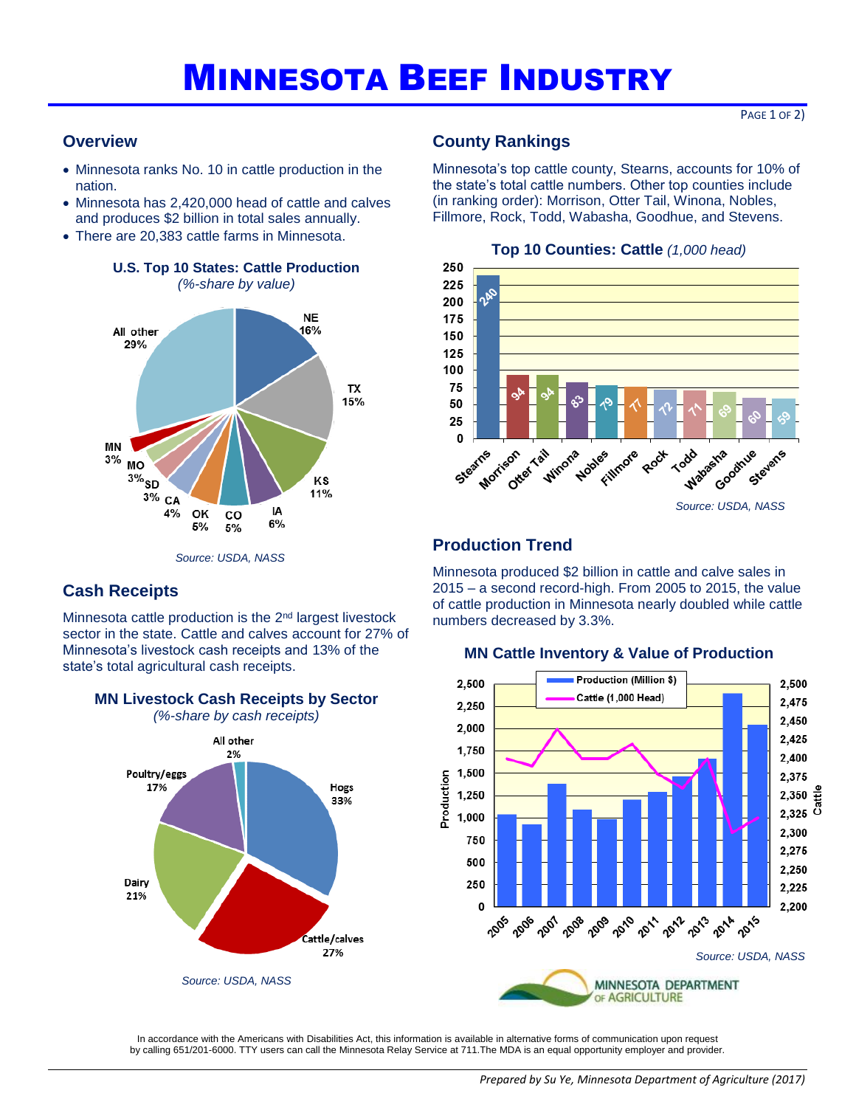# MINNESOTA BEEF INDUSTRY

PAGE 1 OF 2)

### **Overview**

**Cash Receipts** 

- Minnesota ranks No. 10 in cattle production in the nation.
- Minnesota has 2,420,000 head of cattle and calves and produces \$2 billion in total sales annually.
- There are 20,383 cattle farms in Minnesota.



**U.S. Top 10 States: Cattle Production**  *(%-share by value)*

## **County Rankings**

Minnesota's top cattle county, Stearns, accounts for 10% of the state's total cattle numbers. Other top counties include (in ranking order): Morrison, Otter Tail, Winona, Nobles, Fillmore, Rock, Todd, Wabasha, Goodhue, and Stevens.



### **Production Trend**

Minnesota produced \$2 billion in cattle and calve sales in 2015 – a second record-high. From 2005 to 2015, the value of cattle production in Minnesota nearly doubled while cattle numbers decreased by 3.3%.



### **MN Cattle Inventory & Value of Production**

In accordance with the Americans with Disabilities Act, this information is available in alternative forms of communication upon request by calling 651/201-6000. TTY users can call the Minnesota Relay Service at 711.The MDA is an equal opportunity employer and provider.

**MN Livestock Cash Receipts by Sector**  *(%-share by cash receipts)*

Hogs

33%

Cattle/calves 27%

All other

2%

*Source: USDA, NASS*

Minnesota cattle production is the  $2<sup>nd</sup>$  largest livestock sector in the state. Cattle and calves account for 27% of Minnesota's livestock cash receipts and 13% of the

state's total agricultural cash receipts.

Poultry/eggs

17%

Dairy

21%